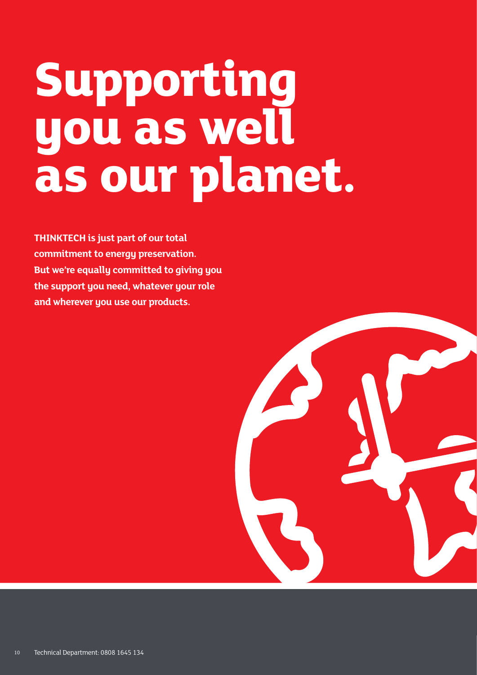## **Supporting you as well as our planet.**

**THINKTECH is just part of our total commitment to energy preservation. But we're equally committed to giving you the support you need, whatever your role and wherever you use our products.**